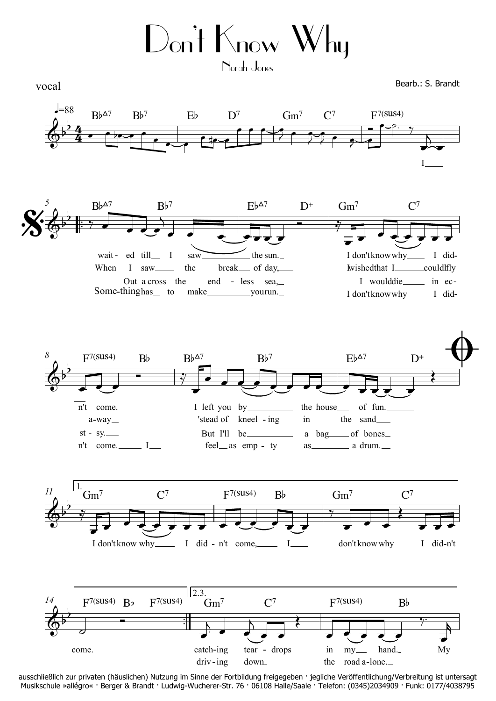

Norah Jones

vocal

Bearb.: S. Brandt



ausschließlich zur privaten (häuslichen) Nutzung im Sinne der Fortbildung freigegeben · jegliche Veröffentlichung/Verbreitung ist untersagt Musikschule »allégro« · Berger & Brandt · Ludwig-Wucherer-Str. 76 · 06108 Halle/Saale · Telefon: (0345)2034909 · Funk: 0177/4038795